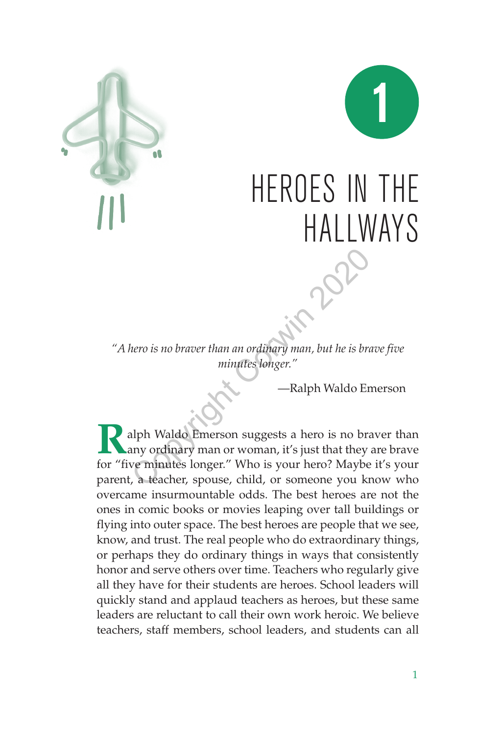



# HEROES IN THE HALLWAYS

*"A hero is no braver than an ordinary man, but he is brave five minutes longer."*

—Ralph Waldo Emerson

**R**alph Waldo Emerson suggests a hero is no braver than any ordinary man or woman, it's just that they are brave for "five minutes longer." Who is your hero? Maybe it's your parent, a teacher, spouse, child, or someone you know who overcame insurmountable odds. The best heroes are not the ones in comic books or movies leaping over tall buildings or flying into outer space. The best heroes are people that we see, know, and trust. The real people who do extraordinary things, or perhaps they do ordinary things in ways that consistently honor and serve others over time. Teachers who regularly give all they have for their students are heroes. School leaders will quickly stand and applaud teachers as heroes, but these same leaders are reluctant to call their own work heroic. We believe teachers, staff members, school leaders, and students can all Nero is no braver than an ordinary man, but he is browning<br>
minutes longer."<br>
—Ralph Waldo Enerson suggests a hero is no brany ordinary man or woman, it's just that they<br>
ve minutes longer." Who is your hero? Maybe<br>
, a te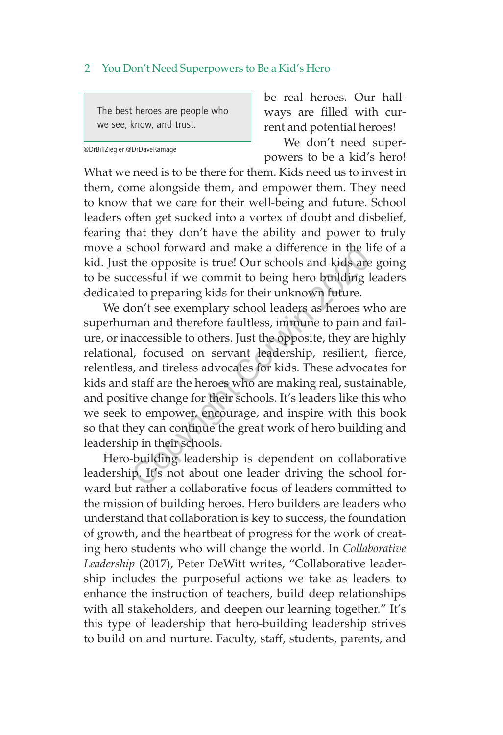The best heroes are people who we see, know, and trust.

@DrBillZiegler @DrDaveRamage

be real heroes. Our hallways are filled with current and potential heroes!

We don't need superpowers to be a kid's hero!

What we need is to be there for them. Kids need us to invest in them, come alongside them, and empower them. They need to know that we care for their well-being and future. School leaders often get sucked into a vortex of doubt and disbelief, fearing that they don't have the ability and power to truly move a school forward and make a difference in the life of a kid. Just the opposite is true! Our schools and kids are going to be successful if we commit to being hero building leaders dedicated to preparing kids for their unknown future.

We don't see exemplary school leaders as heroes who are superhuman and therefore faultless, immune to pain and failure, or inaccessible to others. Just the opposite, they are highly relational, focused on servant leadership, resilient, fierce, relentless, and tireless advocates for kids. These advocates for kids and staff are the heroes who are making real, sustainable, and positive change for their schools. It's leaders like this who we seek to empower, encourage, and inspire with this book so that they can continue the great work of hero building and leadership in their schools. chool forward and make a difference in the in<br>the opposite is true! Our schools and kids are<br>ccessful if we commit to being hero building l<br>d to preparing kids for their unknown future.<br>on't see exemplary school leaders as

Hero-building leadership is dependent on collaborative leadership. It's not about one leader driving the school forward but rather a collaborative focus of leaders committed to the mission of building heroes. Hero builders are leaders who understand that collaboration is key to success, the foundation of growth, and the heartbeat of progress for the work of creating hero students who will change the world. In *Collaborative Leadership* (2017), Peter DeWitt writes, "Collaborative leadership includes the purposeful actions we take as leaders to enhance the instruction of teachers, build deep relationships with all stakeholders, and deepen our learning together." It's this type of leadership that hero-building leadership strives to build on and nurture. Faculty, staff, students, parents, and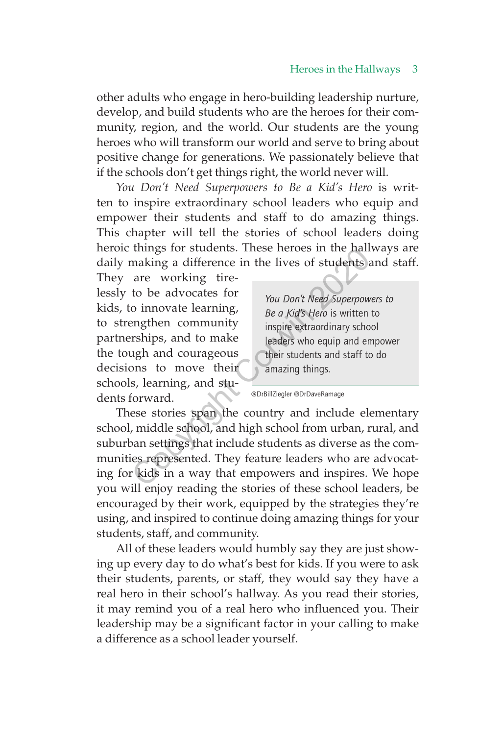other adults who engage in hero-building leadership nurture, develop, and build students who are the heroes for their community, region, and the world. Our students are the young heroes who will transform our world and serve to bring about positive change for generations. We passionately believe that if the schools don't get things right, the world never will.

*You Don't Need Superpowers to Be a Kid's Hero* is written to inspire extraordinary school leaders who equip and empower their students and staff to do amazing things. This chapter will tell the stories of school leaders doing heroic things for students. These heroes in the hallways are daily making a difference in the lives of students and staff.

They are working tirelessly to be advocates for kids, to innovate learning, to strengthen community partnerships, and to make the tough and courageous decisions to move their schools, learning, and students forward.

*You Don't Need Superpowers to Be a Kid's Hero* is written to inspire extraordinary school leaders who equip and empower their students and staff to do amazing things.

@DrBillZiegler @DrDaveRamage

These stories span the country and include elementary school, middle school, and high school from urban, rural, and suburban settings that include students as diverse as the communities represented. They feature leaders who are advocating for kids in a way that empowers and inspires. We hope you will enjoy reading the stories of these school leaders, be encouraged by their work, equipped by the strategies they're using, and inspired to continue doing amazing things for your students, staff, and community. The matrice of students and difference in the lives of students are<br>
to be advocates for<br>
o innovate learning,<br>
the a Kid's Hero is written<br>
engthen community<br>
or ships, and to make<br>
leaders who equip and ength and courage

All of these leaders would humbly say they are just showing up every day to do what's best for kids. If you were to ask their students, parents, or staff, they would say they have a real hero in their school's hallway. As you read their stories, it may remind you of a real hero who influenced you. Their leadership may be a significant factor in your calling to make a difference as a school leader yourself.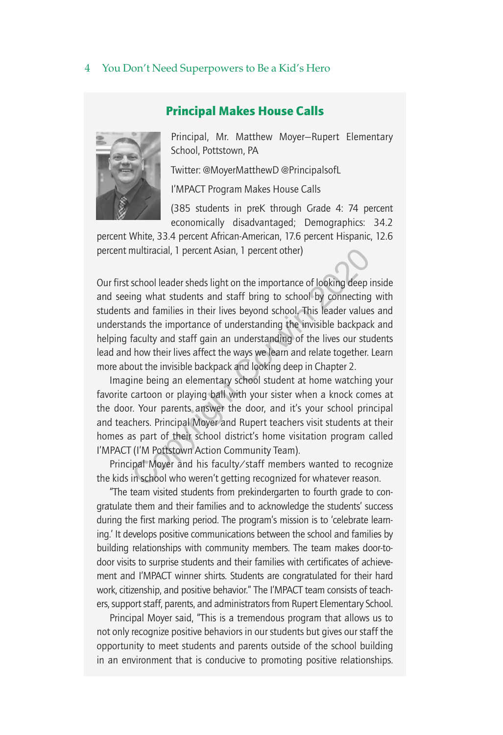## Principal Makes House Calls



Principal, Mr. Matthew Moyer—Rupert Elementary School, Pottstown, PA

Twitter: @MoyerMatthewD @PrincipalsofL

I'MPACT Program Makes House Calls

(385 students in preK through Grade 4: 74 percent economically disadvantaged; Demographics: 34.2

percent White, 33.4 percent African-American, 17.6 percent Hispanic, 12.6 percent multiracial, 1 percent Asian, 1 percent other)

Our first school leader sheds light on the importance of looking deep inside and seeing what students and staff bring to school by connecting with students and families in their lives beyond school. This leader values and understands the importance of understanding the invisible backpack and helping faculty and staff gain an understanding of the lives our students lead and how their lives affect the ways we learn and relate together. Learn more about the invisible backpack and looking deep in Chapter 2. multiracial, 1 percent Asian, 1 percent other)<br>school leader sheds light on the importance of looking deep ing what students and staff bring to school by connecting<br>and families in their lives beyond school. This leader va

Imagine being an elementary school student at home watching your favorite cartoon or playing ball with your sister when a knock comes at the door. Your parents answer the door, and it's your school principal and teachers. Principal Moyer and Rupert teachers visit students at their homes as part of their school district's home visitation program called I'MPACT (I'M Pottstown Action Community Team).

Principal Moyer and his faculty/staff members wanted to recognize the kids in school who weren't getting recognized for whatever reason.

"The team visited students from prekindergarten to fourth grade to congratulate them and their families and to acknowledge the students' success during the first marking period. The program's mission is to 'celebrate learning.' It develops positive communications between the school and families by building relationships with community members. The team makes door-todoor visits to surprise students and their families with certificates of achievement and I'MPACT winner shirts. Students are congratulated for their hard work, citizenship, and positive behavior." The I'MPACT team consists of teachers, support staff, parents, and administrators from Rupert Elementary School.

Principal Moyer said, "This is a tremendous program that allows us to not only recognize positive behaviors in our students but gives our staff the opportunity to meet students and parents outside of the school building in an environment that is conducive to promoting positive relationships.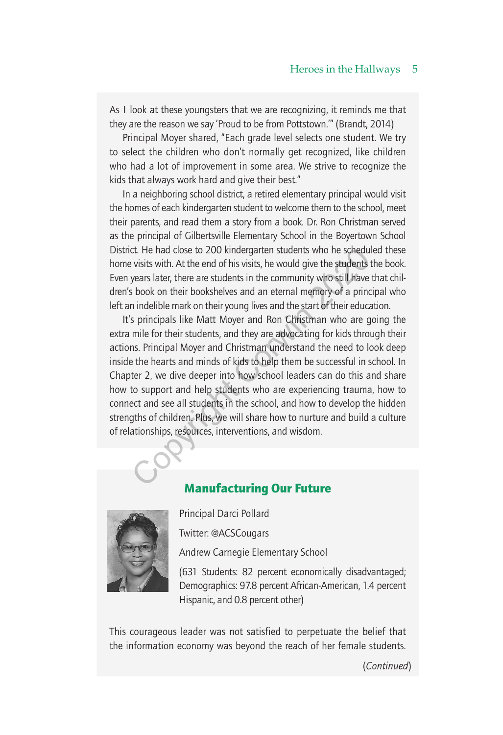As I look at these youngsters that we are recognizing, it reminds me that they are the reason we say 'Proud to be from Pottstown.'" (Brandt, 2014)

Principal Moyer shared, "Each grade level selects one student. We try to select the children who don't normally get recognized, like children who had a lot of improvement in some area. We strive to recognize the kids that always work hard and give their best."

In a neighboring school district, a retired elementary principal would visit the homes of each kindergarten student to welcome them to the school, meet their parents, and read them a story from a book. Dr. Ron Christman served as the principal of Gilbertsville Elementary School in the Boyertown School District. He had close to 200 kindergarten students who he scheduled these home visits with. At the end of his visits, he would give the students the book. Even years later, there are students in the community who still have that children's book on their bookshelves and an eternal memory of a principal who left an indelible mark on their young lives and the start of their education.

It's principals like Matt Moyer and Ron Christman who are going the extra mile for their students, and they are advocating for kids through their actions. Principal Moyer and Christman understand the need to look deep inside the hearts and minds of kids to help them be successful in school. In Chapter 2, we dive deeper into how school leaders can do this and share how to support and help students who are experiencing trauma, how to connect and see all students in the school, and how to develop the hidden strengths of children. Plus, we will share how to nurture and build a culture of relationships, resources, interventions, and wisdom. ct. He had close to 200 kindergarten students who he schedu<br>visits with. At the end of his visits, he would give the students i<br>years later, there are students in the community who still have<br>s book on their bookshelves an

# Manufacturing Our Future



Principal Darci Pollard

Twitter: @ACSCougars

Andrew Carnegie Elementary School

(631 Students: 82 percent economically disadvantaged; Demographics: 97.8 percent African-American, 1.4 percent Hispanic, and 0.8 percent other)

This courageous leader was not satisfied to perpetuate the belief that the information economy was beyond the reach of her female students.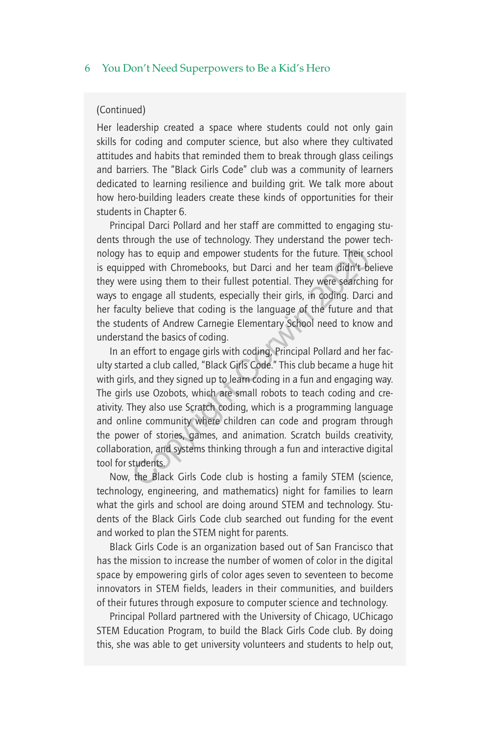#### (Continued)

Her leadership created a space where students could not only gain skills for coding and computer science, but also where they cultivated attitudes and habits that reminded them to break through glass ceilings and barriers. The "Black Girls Code" club was a community of learners dedicated to learning resilience and building grit. We talk more about how hero-building leaders create these kinds of opportunities for their students in Chapter 6.

Principal Darci Pollard and her staff are committed to engaging students through the use of technology. They understand the power technology has to equip and empower students for the future. Their school is equipped with Chromebooks, but Darci and her team didn't believe they were using them to their fullest potential. They were searching for ways to engage all students, especially their girls, in coding. Darci and her faculty believe that coding is the language of the future and that the students of Andrew Carnegie Elementary School need to know and understand the basics of coding.

In an effort to engage girls with coding, Principal Pollard and her faculty started a club called, "Black Girls Code." This club became a huge hit with girls, and they signed up to learn coding in a fun and engaging way. The girls use Ozobots, which are small robots to teach coding and creativity. They also use Scratch coding, which is a programming language and online community where children can code and program through the power of stories, games, and animation. Scratch builds creativity, collaboration, and systems thinking through a fun and interactive digital tool for students. has to equip and empower students for the future. Their s<br>ped with Chromebooks, but Darci and her team didn't be<br>re using them to their fullest potential. They were searchir<br>engage all students, especially their girls, in

Now, the Black Girls Code club is hosting a family STEM (science, technology, engineering, and mathematics) night for families to learn what the girls and school are doing around STEM and technology. Students of the Black Girls Code club searched out funding for the event and worked to plan the STEM night for parents.

Black Girls Code is an organization based out of San Francisco that has the mission to increase the number of women of color in the digital space by empowering girls of color ages seven to seventeen to become innovators in STEM fields, leaders in their communities, and builders of their futures through exposure to computer science and technology.

Principal Pollard partnered with the University of Chicago, UChicago STEM Education Program, to build the Black Girls Code club. By doing this, she was able to get university volunteers and students to help out,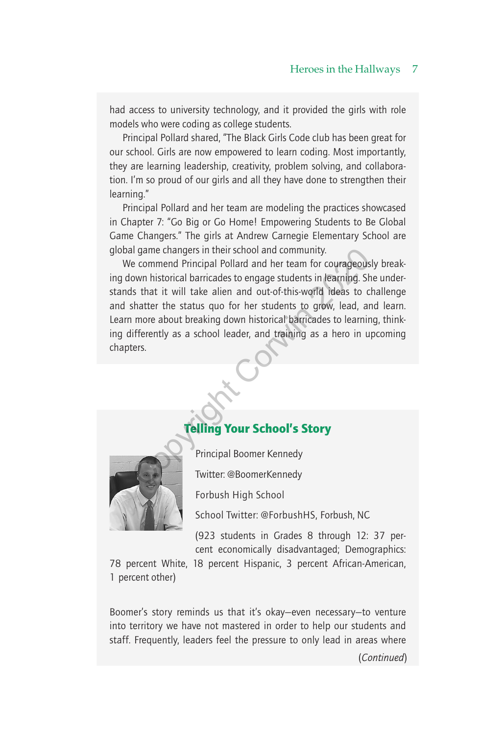had access to university technology, and it provided the girls with role models who were coding as college students.

Principal Pollard shared, "The Black Girls Code club has been great for our school. Girls are now empowered to learn coding. Most importantly, they are learning leadership, creativity, problem solving, and collaboration. I'm so proud of our girls and all they have done to strengthen their learning."

Principal Pollard and her team are modeling the practices showcased in Chapter 7: "Go Big or Go Home! Empowering Students to Be Global Game Changers." The girls at Andrew Carnegie Elementary School are global game changers in their school and community.

We commend Principal Pollard and her team for courageously breaking down historical barricades to engage students in learning. She understands that it will take alien and out-of-this-world ideas to challenge and shatter the status quo for her students to grow, lead, and learn. Learn more about breaking down historical barricades to learning, thinking differently as a school leader, and training as a hero in upcoming chapters. The method of the method and community.<br>
The commend Principal Pollard and her team for courageous<br>
Substitute the status due of the status of our of-this-world ideas to c<br>
Shatter the status quo for her students to grow,

# Telling Your School's Story



Principal Boomer Kennedy

Twitter: @BoomerKennedy

Forbush High School

School Twitter: @ForbushHS, Forbush, NC

(923 students in Grades 8 through 12: 37 percent economically disadvantaged; Demographics:

78 percent White, 18 percent Hispanic, 3 percent African-American, 1 percent other)

Boomer's story reminds us that it's okay—even necessary—to venture into territory we have not mastered in order to help our students and staff. Frequently, leaders feel the pressure to only lead in areas where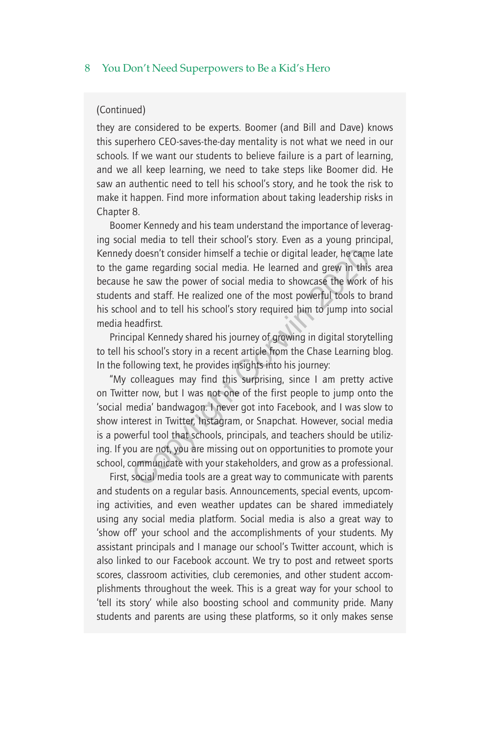#### (Continued)

they are considered to be experts. Boomer (and Bill and Dave) knows this superhero CEO-saves-the-day mentality is not what we need in our schools. If we want our students to believe failure is a part of learning, and we all keep learning, we need to take steps like Boomer did. He saw an authentic need to tell his school's story, and he took the risk to make it happen. Find more information about taking leadership risks in Chapter 8.

Boomer Kennedy and his team understand the importance of leveraging social media to tell their school's story. Even as a young principal, Kennedy doesn't consider himself a techie or digital leader, he came late to the game regarding social media. He learned and grew in this area because he saw the power of social media to showcase the work of his students and staff. He realized one of the most powerful tools to brand his school and to tell his school's story required him to jump into social media headfirst.

Principal Kennedy shared his journey of growing in digital storytelling to tell his school's story in a recent article from the Chase Learning blog. In the following text, he provides insights into his journey:

"My colleagues may find this surprising, since I am pretty active on Twitter now, but I was not one of the first people to jump onto the 'social media' bandwagon. I never got into Facebook, and I was slow to show interest in Twitter, Instagram, or Snapchat. However, social media is a powerful tool that schools, principals, and teachers should be utilizing. If you are not, you are missing out on opportunities to promote your school, communicate with your stakeholders, and grow as a professional. r doesn't consider himself a techie or digital leader, he came ame regarding social media. He learned and grew in this he saw the power of social media to showcase the work is and staff. He realized one of the most powerfu

First, social media tools are a great way to communicate with parents and students on a regular basis. Announcements, special events, upcoming activities, and even weather updates can be shared immediately using any social media platform. Social media is also a great way to 'show off' your school and the accomplishments of your students. My assistant principals and I manage our school's Twitter account, which is also linked to our Facebook account. We try to post and retweet sports scores, classroom activities, club ceremonies, and other student accomplishments throughout the week. This is a great way for your school to 'tell its story' while also boosting school and community pride. Many students and parents are using these platforms, so it only makes sense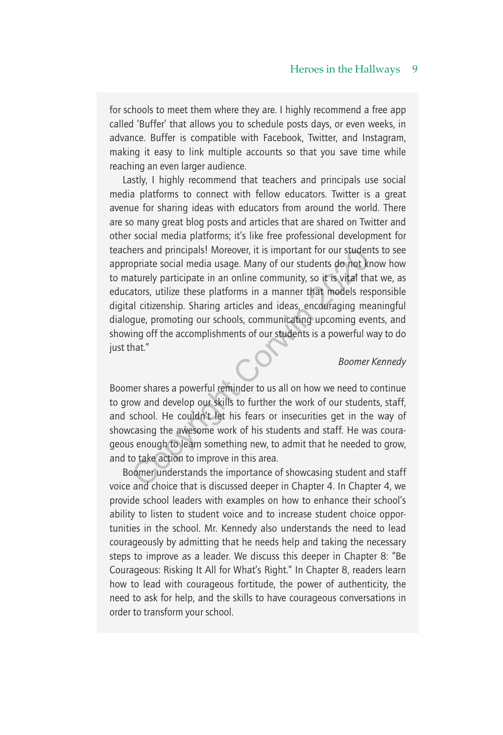#### Heroes in the Hallways 9

for schools to meet them where they are. I highly recommend a free app called 'Buffer' that allows you to schedule posts days, or even weeks, in advance. Buffer is compatible with Facebook, Twitter, and Instagram, making it easy to link multiple accounts so that you save time while reaching an even larger audience.

Lastly, I highly recommend that teachers and principals use social media platforms to connect with fellow educators. Twitter is a great avenue for sharing ideas with educators from around the world. There are so many great blog posts and articles that are shared on Twitter and other social media platforms; it's like free professional development for teachers and principals! Moreover, it is important for our students to see appropriate social media usage. Many of our students do not know how to maturely participate in an online community, so it is vital that we, as educators, utilize these platforms in a manner that models responsible digital citizenship. Sharing articles and ideas, encouraging meaningful dialogue, promoting our schools, communicating upcoming events, and showing off the accomplishments of our students is a powerful way to do just that." The sand principals! Moreover, it is important for our studen<br>priate social media usage. Many of our students do not kr<br>aturely participate in an online community, so it is vital tha<br>ators, utilize these platforms in a man

#### *Boomer Kennedy*

Boomer shares a powerful reminder to us all on how we need to continue to grow and develop our skills to further the work of our students, staff, and school. He couldn't let his fears or insecurities get in the way of showcasing the awesome work of his students and staff. He was courageous enough to learn something new, to admit that he needed to grow, and to take action to improve in this area.

Boomer understands the importance of showcasing student and staff voice and choice that is discussed deeper in Chapter 4. In Chapter 4, we provide school leaders with examples on how to enhance their school's ability to listen to student voice and to increase student choice opportunities in the school. Mr. Kennedy also understands the need to lead courageously by admitting that he needs help and taking the necessary steps to improve as a leader. We discuss this deeper in Chapter 8: "Be Courageous: Risking It All for What's Right." In Chapter 8, readers learn how to lead with courageous fortitude, the power of authenticity, the need to ask for help, and the skills to have courageous conversations in order to transform your school.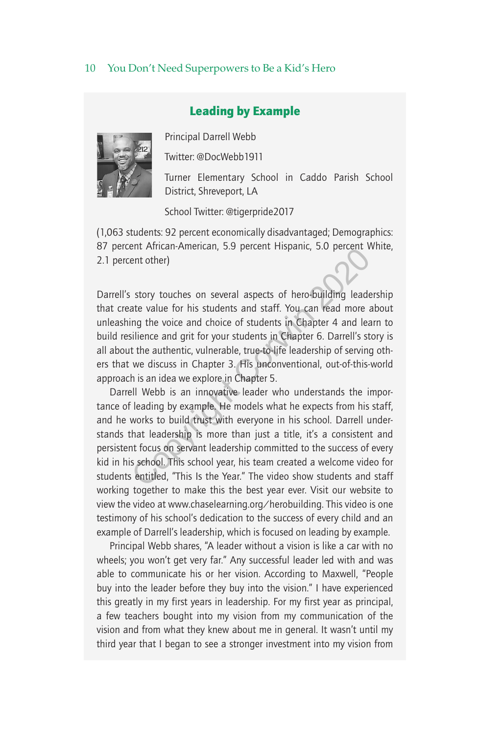# Leading by Example



Principal Darrell Webb

Twitter: @DocWebb1911

Turner Elementary School in Caddo Parish School District, Shreveport, LA

School Twitter: @tigerpride2017

(1,063 students: 92 percent economically disadvantaged; Demographics: 87 percent African-American, 5.9 percent Hispanic, 5.0 percent White, 2.1 percent other)

Darrell's story touches on several aspects of hero-building leadership that create value for his students and staff. You can read more about unleashing the voice and choice of students in Chapter 4 and learn to build resilience and grit for your students in Chapter 6. Darrell's story is all about the authentic, vulnerable, true-to-life leadership of serving others that we discuss in Chapter 3. His unconventional, out-of-this-world approach is an idea we explore in Chapter 5.

Darrell Webb is an innovative leader who understands the importance of leading by example. He models what he expects from his staff, and he works to build trust with everyone in his school. Darrell understands that leadership is more than just a title, it's a consistent and persistent focus on servant leadership committed to the success of every kid in his school. This school year, his team created a welcome video for students entitled, "This Is the Year." The video show students and staff working together to make this the best year ever. Visit our website to view the video at www.chaselearning.org/herobuilding. This video is one testimony of his school's dedication to the success of every child and an example of Darrell's leadership, which is focused on leading by example. ent Aintain-Ainfeirlan, 3.9 percent inspanic, 3.0 percent v<br>ent other)<br>story touches on several aspects of hero-building leade<br>ate value for his students and staff. You can read more a<br>ing the voice and choice of students

Principal Webb shares, "A leader without a vision is like a car with no wheels; you won't get very far." Any successful leader led with and was able to communicate his or her vision. According to Maxwell, "People buy into the leader before they buy into the vision." I have experienced this greatly in my first years in leadership. For my first year as principal, a few teachers bought into my vision from my communication of the vision and from what they knew about me in general. It wasn't until my third year that I began to see a stronger investment into my vision from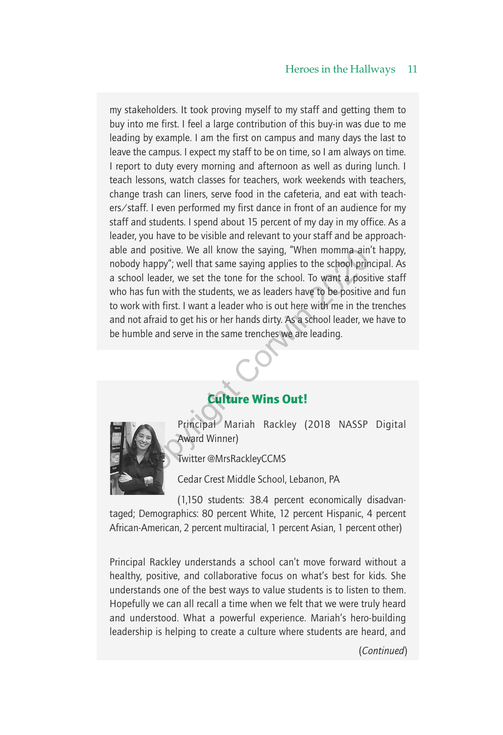#### Heroes in the Hallways 11

my stakeholders. It took proving myself to my staff and getting them to buy into me first. I feel a large contribution of this buy-in was due to me leading by example. I am the first on campus and many days the last to leave the campus. I expect my staff to be on time, so I am always on time. I report to duty every morning and afternoon as well as during lunch. I teach lessons, watch classes for teachers, work weekends with teachers, change trash can liners, serve food in the cafeteria, and eat with teachers/staff. I even performed my first dance in front of an audience for my staff and students. I spend about 15 percent of my day in my office. As a leader, you have to be visible and relevant to your staff and be approachable and positive. We all know the saying, "When momma ain't happy, nobody happy"; well that same saying applies to the school principal. As a school leader, we set the tone for the school. To want a positive staff who has fun with the students, we as leaders have to be positive and fun to work with first. I want a leader who is out here with me in the trenches and not afraid to get his or her hands dirty. As a school leader, we have to be humble and serve in the same trenches we are leading. and positive. We all know the saying, "When momma ain'<br>dy happy"; well that same saying applies to the school prin<br>nool leader, we set the tone for the school. To want a positive<br>has fun with the students, we as leaders ha

# Culture Wins Out!



Principal Mariah Rackley (2018 NASSP Digital Award Winner)

Twitter @MrsRackleyCCMS

Cedar Crest Middle School, Lebanon, PA

(1,150 students: 38.4 percent economically disadvantaged; Demographics: 80 percent White, 12 percent Hispanic, 4 percent African-American, 2 percent multiracial, 1 percent Asian, 1 percent other)

Principal Rackley understands a school can't move forward without a healthy, positive, and collaborative focus on what's best for kids. She understands one of the best ways to value students is to listen to them. Hopefully we can all recall a time when we felt that we were truly heard and understood. What a powerful experience. Mariah's hero-building leadership is helping to create a culture where students are heard, and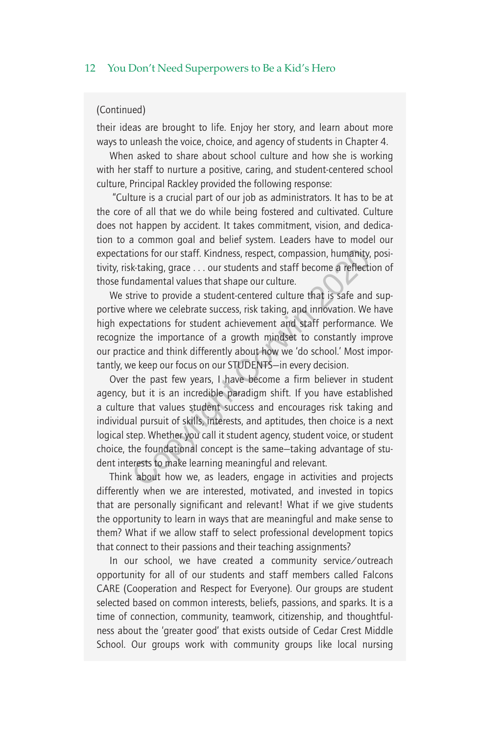#### (Continued)

their ideas are brought to life. Enjoy her story, and learn about more ways to unleash the voice, choice, and agency of students in Chapter 4.

When asked to share about school culture and how she is working with her staff to nurture a positive, caring, and student-centered school culture, Principal Rackley provided the following response:

 "Culture is a crucial part of our job as administrators. It has to be at the core of all that we do while being fostered and cultivated. Culture does not happen by accident. It takes commitment, vision, and dedication to a common goal and belief system. Leaders have to model our expectations for our staff. Kindness, respect, compassion, humanity, positivity, risk-taking, grace . . . our students and staff become a reflection of those fundamental values that shape our culture.

We strive to provide a student-centered culture that is safe and supportive where we celebrate success, risk taking, and innovation. We have high expectations for student achievement and staff performance. We recognize the importance of a growth mindset to constantly improve our practice and think differently about how we 'do school.' Most importantly, we keep our focus on our STUDENTS—in every decision.

Over the past few years, I have become a firm believer in student agency, but it is an incredible paradigm shift. If you have established a culture that values student success and encourages risk taking and individual pursuit of skills, interests, and aptitudes, then choice is a next logical step. Whether you call it student agency, student voice, or student choice, the foundational concept is the same—taking advantage of student interests to make learning meaningful and relevant. tions for our staff. Kindness, respect, compassion, humanity, k-taking, grace ... our students and staff become a reflection<br>damental values that shape our culture.<br>trive to provide a student-centered culture that is safe

Think about how we, as leaders, engage in activities and projects differently when we are interested, motivated, and invested in topics that are personally significant and relevant! What if we give students the opportunity to learn in ways that are meaningful and make sense to them? What if we allow staff to select professional development topics that connect to their passions and their teaching assignments?

In our school, we have created a community service/outreach opportunity for all of our students and staff members called Falcons CARE (Cooperation and Respect for Everyone). Our groups are student selected based on common interests, beliefs, passions, and sparks. It is a time of connection, community, teamwork, citizenship, and thoughtfulness about the 'greater good' that exists outside of Cedar Crest Middle School. Our groups work with community groups like local nursing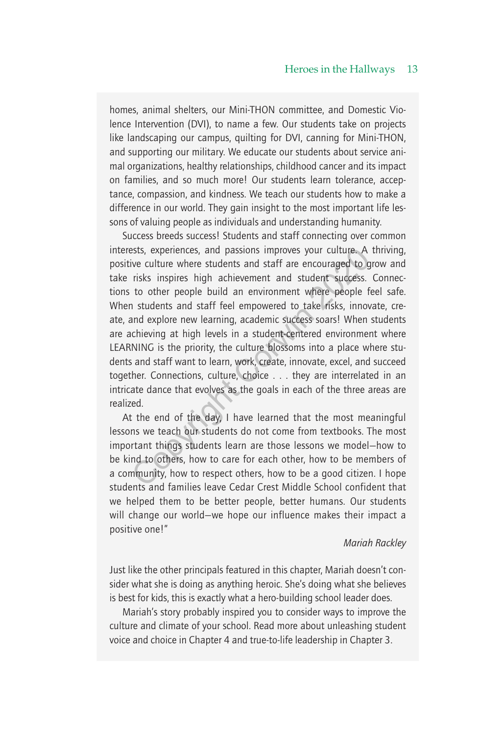#### Heroes in the Hallways 13

homes, animal shelters, our Mini-THON committee, and Domestic Violence Intervention (DVI), to name a few. Our students take on projects like landscaping our campus, quilting for DVI, canning for Mini-THON, and supporting our military. We educate our students about service animal organizations, healthy relationships, childhood cancer and its impact on families, and so much more! Our students learn tolerance, acceptance, compassion, and kindness. We teach our students how to make a difference in our world. They gain insight to the most important life lessons of valuing people as individuals and understanding humanity.

Success breeds success! Students and staff connecting over common interests, experiences, and passions improves your culture. A thriving, positive culture where students and staff are encouraged to grow and take risks inspires high achievement and student success. Connections to other people build an environment where people feel safe. When students and staff feel empowered to take risks, innovate, create, and explore new learning, academic success soars! When students are achieving at high levels in a student-centered environment where LEARNING is the priority, the culture blossoms into a place where students and staff want to learn, work, create, innovate, excel, and succeed together. Connections, culture, choice . . . they are interrelated in an intricate dance that evolves as the goals in each of the three areas are realized. sts, experiences, and passions improves your culture. A<br>ive culture where students and staff are encouraged to g<br>risks inspires high achievement and student success.<br>to other people build an environment where people fi<br>n s

At the end of the day, I have learned that the most meaningful lessons we teach our students do not come from textbooks. The most important things students learn are those lessons we model—how to be kind to others, how to care for each other, how to be members of a community, how to respect others, how to be a good citizen. I hope students and families leave Cedar Crest Middle School confident that we helped them to be better people, better humans. Our students will change our world—we hope our influence makes their impact a positive one!"

#### *Mariah Rackley*

Just like the other principals featured in this chapter, Mariah doesn't consider what she is doing as anything heroic. She's doing what she believes is best for kids, this is exactly what a hero-building school leader does.

Mariah's story probably inspired you to consider ways to improve the culture and climate of your school. Read more about unleashing student voice and choice in Chapter 4 and true-to-life leadership in Chapter 3.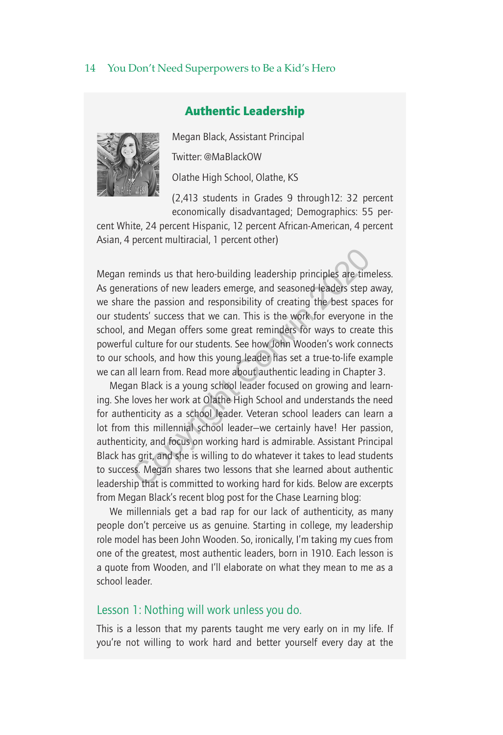# Authentic Leadership



Megan Black, Assistant Principal Twitter: @MaBlackOW

Olathe High School, Olathe, KS

(2,413 students in Grades 9 through12: 32 percent economically disadvantaged; Demographics: 55 per-

cent White, 24 percent Hispanic, 12 percent African-American, 4 percent Asian, 4 percent multiracial, 1 percent other)

Megan reminds us that hero-building leadership principles are timeless. As generations of new leaders emerge, and seasoned leaders step away, we share the passion and responsibility of creating the best spaces for our students' success that we can. This is the work for everyone in the school, and Megan offers some great reminders for ways to create this powerful culture for our students. See how John Wooden's work connects to our schools, and how this young leader has set a true-to-life example we can all learn from. Read more about authentic leading in Chapter 3. reminds us that hero-building leadership principles are tim<br>rations of new leaders emerge, and seasoned leaders step a<br>e the passion and responsibility of creating the best space<br>lents' success that we can. This is the wor

Megan Black is a young school leader focused on growing and learning. She loves her work at Olathe High School and understands the need for authenticity as a school leader. Veteran school leaders can learn a lot from this millennial school leader—we certainly have! Her passion, authenticity, and focus on working hard is admirable. Assistant Principal Black has grit, and she is willing to do whatever it takes to lead students to success. Megan shares two lessons that she learned about authentic leadership that is committed to working hard for kids. Below are excerpts from Megan Black's recent blog post for the Chase Learning blog:

We millennials get a bad rap for our lack of authenticity, as many people don't perceive us as genuine. Starting in college, my leadership role model has been John Wooden. So, ironically, I'm taking my cues from one of the greatest, most authentic leaders, born in 1910. Each lesson is a quote from Wooden, and I'll elaborate on what they mean to me as a school leader.

## Lesson 1: Nothing will work unless you do.

This is a lesson that my parents taught me very early on in my life. If you're not willing to work hard and better yourself every day at the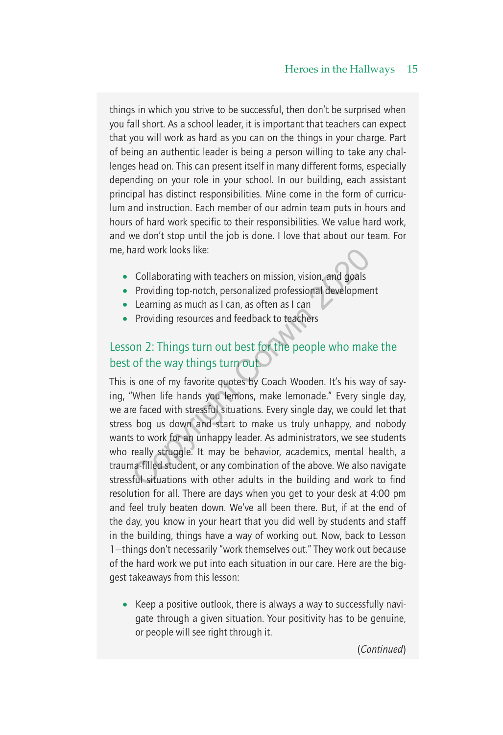things in which you strive to be successful, then don't be surprised when you fall short. As a school leader, it is important that teachers can expect that you will work as hard as you can on the things in your charge. Part of being an authentic leader is being a person willing to take any challenges head on. This can present itself in many different forms, especially depending on your role in your school. In our building, each assistant principal has distinct responsibilities. Mine come in the form of curriculum and instruction. Each member of our admin team puts in hours and hours of hard work specific to their responsibilities. We value hard work, and we don't stop until the job is done. I love that about our team. For me, hard work looks like:

- Collaborating with teachers on mission, vision, and goals
- Providing top-notch, personalized professional development
- Learning as much as I can, as often as I can
- Providing resources and feedback to teachers

# Lesson 2: Things turn out best for the people who make the best of the way things turn out.

This is one of my favorite quotes by Coach Wooden. It's his way of saying, "When life hands you lemons, make lemonade." Every single day, we are faced with stressful situations. Every single day, we could let that stress bog us down and start to make us truly unhappy, and nobody wants to work for an unhappy leader. As administrators, we see students who really struggle. It may be behavior, academics, mental health, a trauma-filled student, or any combination of the above. We also navigate stressful situations with other adults in the building and work to find resolution for all. There are days when you get to your desk at 4:00 pm and feel truly beaten down. We've all been there. But, if at the end of the day, you know in your heart that you did well by students and staff in the building, things have a way of working out. Now, back to Lesson 1—things don't necessarily "work themselves out." They work out because of the hard work we put into each situation in our care. Here are the biggest takeaways from this lesson: and work looks like:<br>
Collaborating with teachers on mission, vision, and goals<br>
Providing top-notch, personalized professional developmer<br>
Learning as much as I can, as often as I can<br>
Providing resources and feedback to

• Keep a positive outlook, there is always a way to successfully navigate through a given situation. Your positivity has to be genuine, or people will see right through it.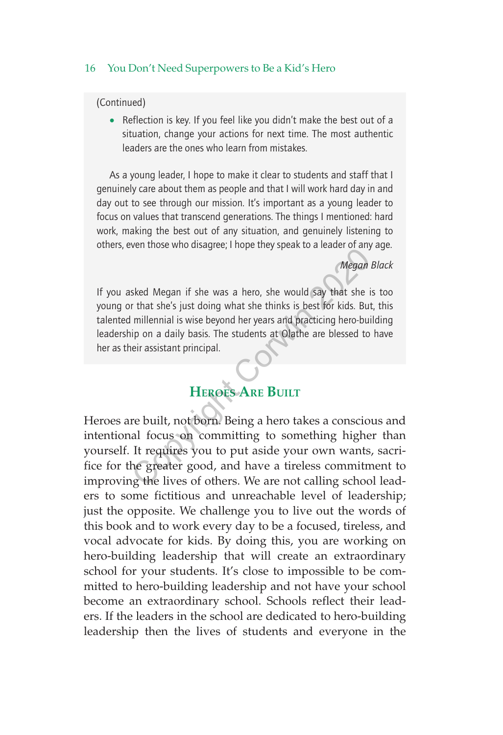(Continued)

• Reflection is key. If you feel like you didn't make the best out of a situation, change your actions for next time. The most authentic leaders are the ones who learn from mistakes.

As a young leader, I hope to make it clear to students and staff that I genuinely care about them as people and that I will work hard day in and day out to see through our mission. It's important as a young leader to focus on values that transcend generations. The things I mentioned: hard work, making the best out of any situation, and genuinely listening to others, even those who disagree; I hope they speak to a leader of any age.

#### *Megan Black*

If you asked Megan if she was a hero, she would say that she is too young or that she's just doing what she thinks is best for kids. But, this talented millennial is wise beyond her years and practicing hero-building leadership on a daily basis. The students at Olathe are blessed to have her as their assistant principal.

# **Heroes Are Built**

Heroes are built, not born. Being a hero takes a conscious and intentional focus on committing to something higher than yourself. It requires you to put aside your own wants, sacrifice for the greater good, and have a tireless commitment to improving the lives of others. We are not calling school leaders to some fictitious and unreachable level of leadership; just the opposite. We challenge you to live out the words of this book and to work every day to be a focused, tireless, and vocal advocate for kids. By doing this, you are working on hero-building leadership that will create an extraordinary school for your students. It's close to impossible to be committed to hero-building leadership and not have your school become an extraordinary school. Schools reflect their leaders. If the leaders in the school are dedicated to hero-building leadership then the lives of students and everyone in the Megan<br>
Sked Megan if she was a hero, she would say that she is<br>
r that she's just doing what she thinks is best for kids. But<br>
millennial is wise beyond her years and practicing hero-bui<br>
ip on a daily basis. The students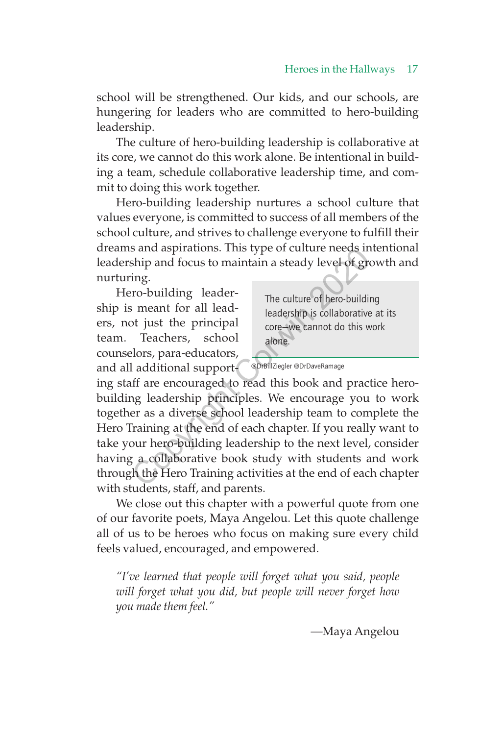school will be strengthened. Our kids, and our schools, are hungering for leaders who are committed to hero-building leadership.

The culture of hero-building leadership is collaborative at its core, we cannot do this work alone. Be intentional in building a team, schedule collaborative leadership time, and commit to doing this work together.

Hero-building leadership nurtures a school culture that values everyone, is committed to success of all members of the school culture, and strives to challenge everyone to fulfill their dreams and aspirations. This type of culture needs intentional leadership and focus to maintain a steady level of growth and nurturing.

Hero-building leadership is meant for all leaders, not just the principal team. Teachers, school counselors, para-educators, and all additional supportThe culture of hero-building leadership is collaborative at its core—we cannot do this work alone.

@DrBillZiegler @DrDaveRamage

ing staff are encouraged to read this book and practice herobuilding leadership principles. We encourage you to work together as a diverse school leadership team to complete the Hero Training at the end of each chapter. If you really want to take your hero-building leadership to the next level, consider having a collaborative book study with students and work through the Hero Training activities at the end of each chapter with students, staff, and parents. Sand aspirations. This type or culture needs in<br>thip and focus to maintain a steady level of grains<br>ing.<br>The culture of hero-building<br>ing.<br>The culture of hero-building<br>in meant for all lead-<br>the principal<br>teadership is col

We close out this chapter with a powerful quote from one of our favorite poets, Maya Angelou. Let this quote challenge all of us to be heroes who focus on making sure every child feels valued, encouraged, and empowered.

*"I've learned that people will forget what you said, people will forget what you did, but people will never forget how you made them feel."*

*—*Maya Angelou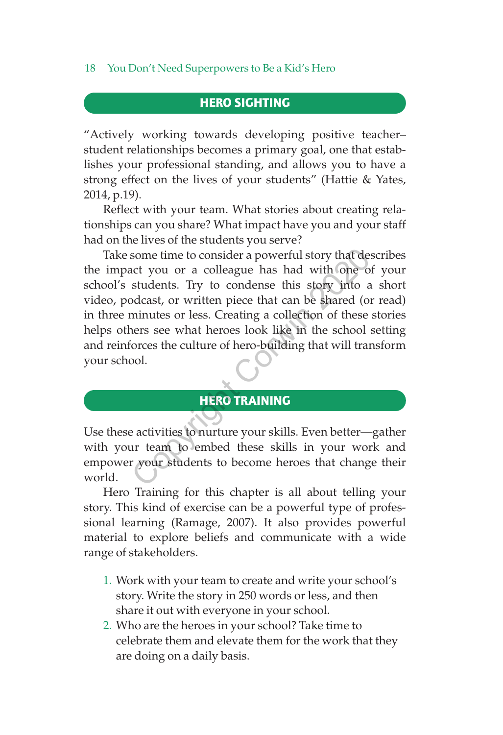# HERO SIGHTING

"Actively working towards developing positive teacher– student relationships becomes a primary goal, one that establishes your professional standing, and allows you to have a strong effect on the lives of your students" (Hattie & Yates, 2014, p.19).

Reflect with your team. What stories about creating relationships can you share? What impact have you and your staff had on the lives of the students you serve?

Take some time to consider a powerful story that describes the impact you or a colleague has had with one of your school's students. Try to condense this story into a short video, podcast, or written piece that can be shared (or read) in three minutes or less. Creating a collection of these stories helps others see what heroes look like in the school setting and reinforces the culture of hero-building that will transform your school. Some time to consider a powerful story that dead to you or a colleague has had with one o students. Try to condense this story into a bodcast, or written piece that can be shared (or minutes or less. Creating a collection

# HERO TRAINING

Use these activities to nurture your skills. Even better—gather with your team to embed these skills in your work and empower your students to become heroes that change their world.

Hero Training for this chapter is all about telling your story. This kind of exercise can be a powerful type of professional learning (Ramage, 2007). It also provides powerful material to explore beliefs and communicate with a wide range of stakeholders.

- 1. Work with your team to create and write your school's story. Write the story in 250 words or less, and then share it out with everyone in your school.
- 2. Who are the heroes in your school? Take time to celebrate them and elevate them for the work that they are doing on a daily basis.